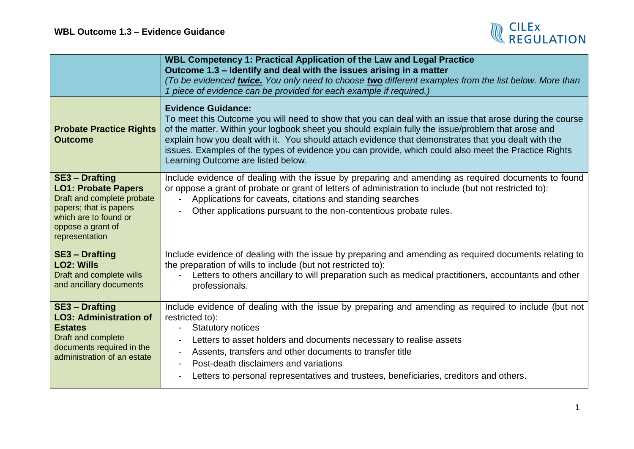

|                                                                                                                                                                             | WBL Competency 1: Practical Application of the Law and Legal Practice<br>Outcome 1.3 - Identify and deal with the issues arising in a matter<br>(To be evidenced twice. You only need to choose two different examples from the list below. More than<br>1 piece of evidence can be provided for each example if required.)                                                                                                                                                                     |
|-----------------------------------------------------------------------------------------------------------------------------------------------------------------------------|-------------------------------------------------------------------------------------------------------------------------------------------------------------------------------------------------------------------------------------------------------------------------------------------------------------------------------------------------------------------------------------------------------------------------------------------------------------------------------------------------|
| <b>Probate Practice Rights</b><br><b>Outcome</b>                                                                                                                            | <b>Evidence Guidance:</b><br>To meet this Outcome you will need to show that you can deal with an issue that arose during the course<br>of the matter. Within your logbook sheet you should explain fully the issue/problem that arose and<br>explain how you dealt with it. You should attach evidence that demonstrates that you dealt with the<br>issues. Examples of the types of evidence you can provide, which could also meet the Practice Rights<br>Learning Outcome are listed below. |
| <b>SE3 - Drafting</b><br><b>LO1: Probate Papers</b><br>Draft and complete probate<br>papers; that is papers<br>which are to found or<br>oppose a grant of<br>representation | Include evidence of dealing with the issue by preparing and amending as required documents to found<br>or oppose a grant of probate or grant of letters of administration to include (but not restricted to):<br>Applications for caveats, citations and standing searches<br>Other applications pursuant to the non-contentious probate rules.                                                                                                                                                 |
| <b>SE3 - Drafting</b><br><b>LO2: Wills</b><br>Draft and complete wills<br>and ancillary documents                                                                           | Include evidence of dealing with the issue by preparing and amending as required documents relating to<br>the preparation of wills to include (but not restricted to):<br>Letters to others ancillary to will preparation such as medical practitioners, accountants and other<br>$\overline{\phantom{0}}$<br>professionals.                                                                                                                                                                    |
| <b>SE3 - Drafting</b><br><b>LO3: Administration of</b><br><b>Estates</b><br>Draft and complete<br>documents required in the<br>administration of an estate                  | Include evidence of dealing with the issue by preparing and amending as required to include (but not<br>restricted to):<br><b>Statutory notices</b><br>Letters to asset holders and documents necessary to realise assets<br>Assents, transfers and other documents to transfer title<br>Post-death disclaimers and variations<br>Letters to personal representatives and trustees, beneficiaries, creditors and others.                                                                        |